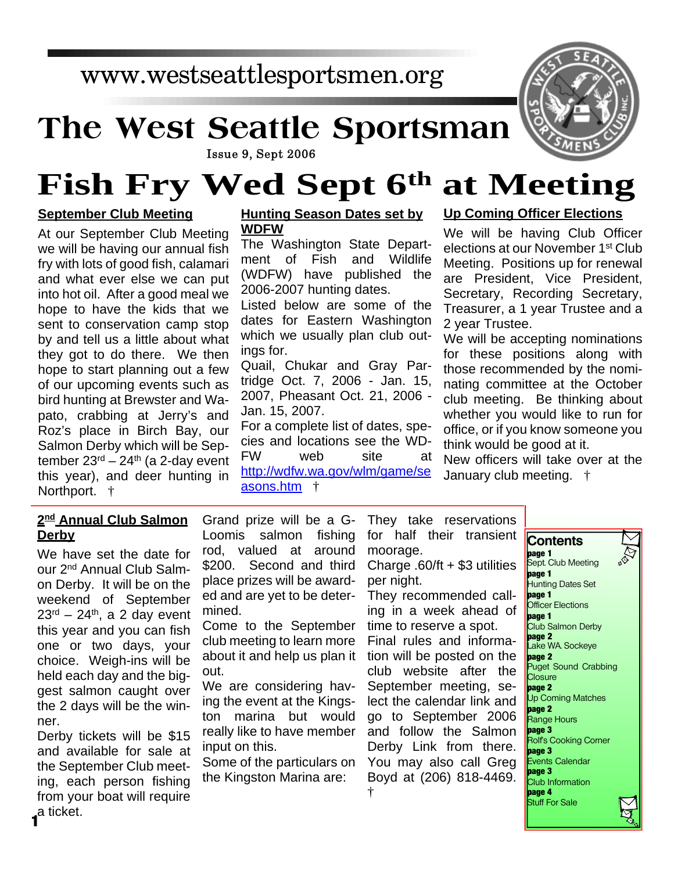### www.westseattlesportsmen.org

# **The West Seattle Sportsman**



Issue 9, Sept 2006

## **Fish Fry Wed Sept 6th at Meeting**

#### **September Club Meeting**

At our September Club Meeting we will be having our annual fish fry with lots of good fish, calamari and what ever else we can put into hot oil. After a good meal we hope to have the kids that we sent to conservation camp stop by and tell us a little about what they got to do there. We then hope to start planning out a few of our upcoming events such as bird hunting at Brewster and Wapato, crabbing at Jerry's and Roz's place in Birch Bay, our Salmon Derby which will be September  $23<sup>rd</sup> - 24<sup>th</sup>$  (a 2-day event this year), and deer hunting in Northport. †

#### **Hunting Season Dates set by WDFW**

The Washington State Department of Fish and Wildlife (WDFW) have published the 2006-2007 hunting dates.

Listed below are some of the dates for Eastern Washington which we usually plan club outings for.

Quail, Chukar and Gray Partridge Oct. 7, 2006 - Jan. 15, 2007, Pheasant Oct. 21, 2006 - Jan. 15, 2007.

For a complete list of dates, species and locations see the WD-FW web site at http://wdfw.wa.gov/wlm/game/se asons.htm †

#### **Up Coming Officer Elections**

We will be having Club Officer elections at our November 1<sup>st</sup> Club Meeting. Positions up for renewal are President, Vice President, Secretary, Recording Secretary, Treasurer, a 1 year Trustee and a 2 year Trustee.

We will be accepting nominations for these positions along with those recommended by the nominating committee at the October club meeting. Be thinking about whether you would like to run for office, or if you know someone you think would be good at it.

New officers will take over at the January club meeting. †

#### **2 nd Annual Club Salmon Derby**

We have set the date for our 2nd Annual Club Salmon Derby. It will be on the weekend of September  $23<sup>rd</sup> - 24<sup>th</sup>$ , a 2 day event this year and you can fish one or two days, your choice. Weigh-ins will be held each day and the biggest salmon caught over the 2 days will be the winner.

Derby tickets will be \$15 and available for sale at the September Club meeting, each person fishing from your boat will require a ticket. **1**

Grand prize will be a G-Loomis salmon fishing rod, valued at around \$200. Second and third place prizes will be awarded and are yet to be determined.

Come to the September club meeting to learn more about it and help us plan it out.

We are considering having the event at the Kingston marina but would really like to have member input on this.

Some of the particulars on the Kingston Marina are:

They take reservations for half their transient moorage.

Charge .60/ft + \$3 utilities per night.

They recommended calling in a week ahead of time to reserve a spot. Final rules and information will be posted on the club website after the September meeting, select the calendar link and go to September 2006 and follow the Salmon Derby Link from there. You may also call Greg Boyd at (206) 818-4469. †

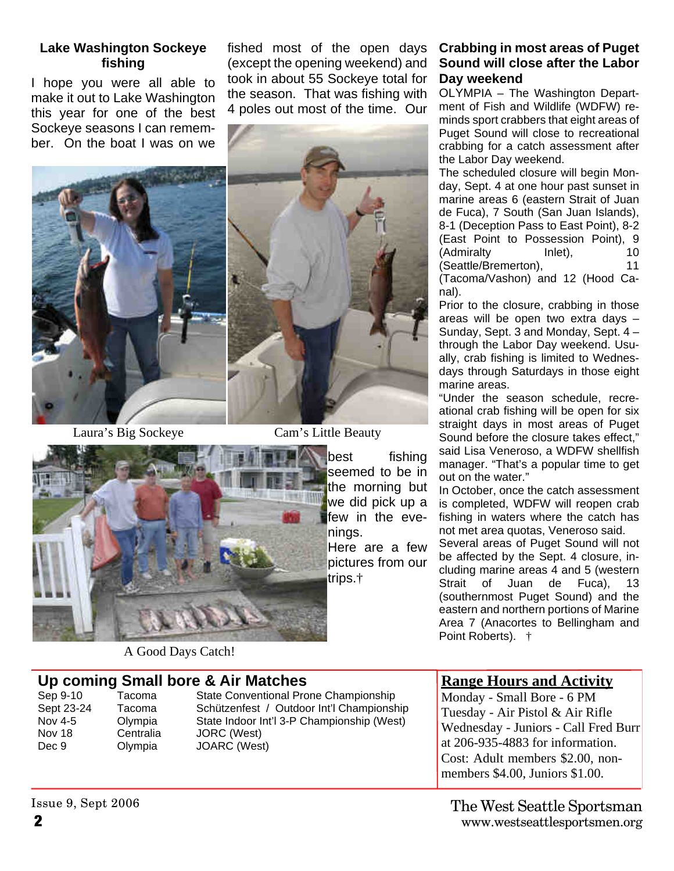#### **Lake Washington Sockeye fishing**

I hope you were all able to make it out to Lake Washington this year for one of the best Sockeye seasons I can remember. On the boat I was on we

fished most of the open days (except the opening weekend) and took in about 55 Sockeye total for the season. That was fishing with 4 poles out most of the time. Our



Laura's Big Sockeye Cam's Little Beauty



A Good Days Catch!

**Up coming Small bore & Air Matches** Nov 18 Centralia JORC (West) Dec 9 Olympia JOARC (West)

### Sep 9-10 Tacoma State Conventional Prone Championship<br>Sept 23-24 Tacoma Schützenfest / Outdoor Int'l Championsh Schützenfest / Outdoor Int'l Championship Nov 4-5 Olympia State Indoor Int'l 3-P Championship (West)

#### **Crabbing in most areas of Puget Sound will close after the Labor Day weekend**

OLYMPIA – The Washington Department of Fish and Wildlife (WDFW) reminds sport crabbers that eight areas of Puget Sound will close to recreational crabbing for a catch assessment after the Labor Day weekend.

The scheduled closure will begin Monday, Sept. 4 at one hour past sunset in marine areas 6 (eastern Strait of Juan de Fuca), 7 South (San Juan Islands), 8-1 (Deception Pass to East Point), 8-2 (East Point to Possession Point), 9 (Admiralty Inlet), 10 (Seattle/Bremerton), 11

(Tacoma/Vashon) and 12 (Hood Canal).

Prior to the closure, crabbing in those areas will be open two extra days – Sunday, Sept. 3 and Monday, Sept. 4 – through the Labor Day weekend. Usually, crab fishing is limited to Wednesdays through Saturdays in those eight marine areas.

"Under the season schedule, recreational crab fishing will be open for six straight days in most areas of Puget Sound before the closure takes effect." said Lisa Veneroso, a WDFW shellfish manager. "That's a popular time to get out on the water."

In October, once the catch assessment is completed, WDFW will reopen crab fishing in waters where the catch has not met area quotas, Veneroso said.

Several areas of Puget Sound will not be affected by the Sept. 4 closure, including marine areas 4 and 5 (western Strait of Juan de Fuca), 13 (southernmost Puget Sound) and the eastern and northern portions of Marine Area 7 (Anacortes to Bellingham and Point Roberts). †

#### **Range Hours and Activity**

Monday - Small Bore - 6 PM Tuesday - Air Pistol & Air Rifle Wednesday - Juniors - Call Fred Burr at 206-935-4883 for information. Cost: Adult members \$2.00, nonmembers \$4.00, Juniors \$1.00.

Issue 9, Sept 2006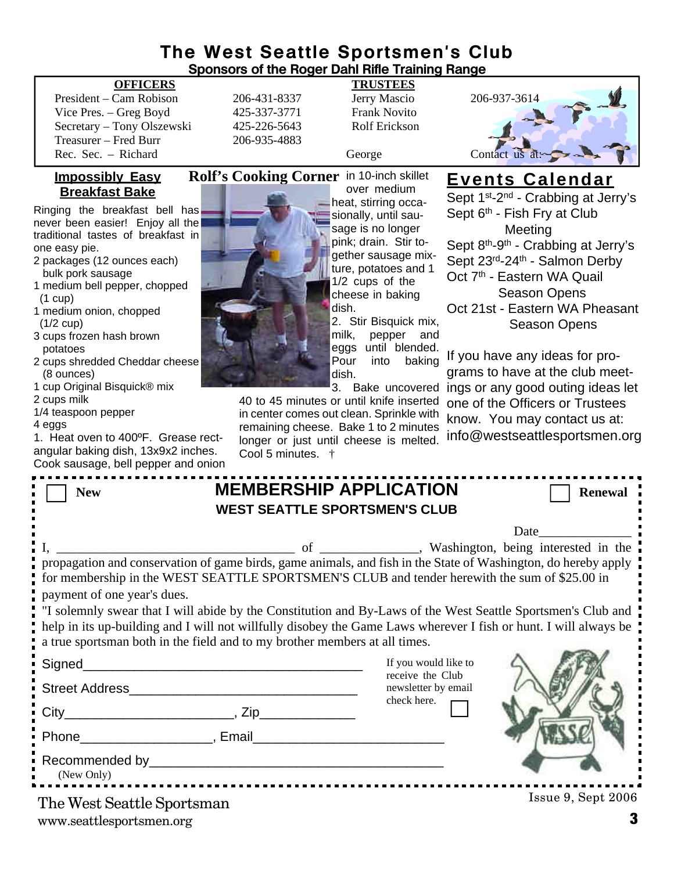# **The West Seattle Sportsmen's Club**

| <b>Sponsors of the Roger Dahl Rifle Training Range</b>                                                                                                                                                          |                                          |                                                                     |                                         |                                                             |
|-----------------------------------------------------------------------------------------------------------------------------------------------------------------------------------------------------------------|------------------------------------------|---------------------------------------------------------------------|-----------------------------------------|-------------------------------------------------------------|
| <b>OFFICERS</b>                                                                                                                                                                                                 |                                          | <b>TRUSTEES</b>                                                     |                                         |                                                             |
| President – Cam Robison                                                                                                                                                                                         | 206-431-8337                             | Jerry Mascio                                                        | 206-937-3614                            |                                                             |
| Vice Pres. - Greg Boyd                                                                                                                                                                                          | 425-337-3771                             | <b>Frank Novito</b>                                                 |                                         |                                                             |
| Secretary - Tony Olszewski                                                                                                                                                                                      | 425-226-5643                             | Rolf Erickson                                                       |                                         |                                                             |
| Treasurer - Fred Burr                                                                                                                                                                                           | 206-935-4883                             |                                                                     |                                         |                                                             |
| Rec. Sec. - Richard                                                                                                                                                                                             |                                          | George                                                              | Contact us at:                          |                                                             |
| <u>Impossibly Easy</u><br><b>Breakfast Bake</b>                                                                                                                                                                 | Rolf's Cooking Corner in 10-inch skillet | over medium                                                         | <u>Events Calendar</u>                  | Sept 1 <sup>st</sup> -2 <sup>nd</sup> - Crabbing at Jerry's |
| Ringing the breakfast bell has                                                                                                                                                                                  |                                          | heat, stirring occa-<br>sionally, until sau-                        | Sept 6 <sup>th</sup> - Fish Fry at Club |                                                             |
| never been easier! Enjoy all the                                                                                                                                                                                |                                          | sage is no longer                                                   | Meeting                                 |                                                             |
| traditional tastes of breakfast in                                                                                                                                                                              |                                          | pink; drain. Stir to-                                               |                                         | Sept 8 <sup>th</sup> -9 <sup>th</sup> - Crabbing at Jerry's |
| one easy pie.<br>2 packages (12 ounces each)                                                                                                                                                                    |                                          | gether sausage mix-                                                 | Sept 23rd-24th - Salmon Derby           |                                                             |
| bulk pork sausage                                                                                                                                                                                               |                                          | ture, potatoes and 1                                                | Oct 7 <sup>th</sup> - Eastern WA Quail  |                                                             |
| 1 medium bell pepper, chopped                                                                                                                                                                                   |                                          | 1/2 cups of the                                                     |                                         |                                                             |
| $(1 \text{ cup})$                                                                                                                                                                                               |                                          | cheese in baking                                                    |                                         | <b>Season Opens</b>                                         |
| 1 medium onion, chopped                                                                                                                                                                                         |                                          | dish.                                                               |                                         | Oct 21st - Eastern WA Pheasant                              |
| $(1/2 \text{ cup})$<br>3 cups frozen hash brown                                                                                                                                                                 |                                          | 2. Stir Bisquick mix,<br>milk,<br>pepper and<br>eggs until blended. |                                         | <b>Season Opens</b>                                         |
| potatoes<br>2 cups shredded Cheddar cheese                                                                                                                                                                      |                                          | Pour<br>into<br>baking                                              | If you have any ideas for pro-          |                                                             |
| (8 ounces)                                                                                                                                                                                                      |                                          | dish.                                                               |                                         | grams to have at the club meet-                             |
| 1 cup Original Bisquick® mix                                                                                                                                                                                    |                                          | 3. Bake uncovered                                                   |                                         | ings or any good outing ideas let                           |
| 2 cups milk                                                                                                                                                                                                     | 40 to 45 minutes or until knife inserted |                                                                     | one of the Officers or Trustees         |                                                             |
| 1/4 teaspoon pepper                                                                                                                                                                                             |                                          | in center comes out clean. Sprinkle with                            | know. You may contact us at:            |                                                             |
| 4 eggs<br>1. Heat oven to 400°F. Grease rect-                                                                                                                                                                   |                                          | remaining cheese. Bake 1 to 2 minutes                               |                                         | info@westseattlesportsmen.org                               |
| angular baking dish, 13x9x2 inches.                                                                                                                                                                             | longer or just until cheese is melted.   |                                                                     |                                         |                                                             |
| Cook sausage, bell pepper and onion                                                                                                                                                                             | Cool 5 minutes. †                        |                                                                     |                                         |                                                             |
|                                                                                                                                                                                                                 |                                          |                                                                     |                                         |                                                             |
| <b>MEMBERSHIP APPLICATION</b><br><b>Renewal</b><br><b>New</b>                                                                                                                                                   |                                          |                                                                     |                                         |                                                             |
| <b>WEST SEATTLE SPORTSMEN'S CLUB</b>                                                                                                                                                                            |                                          |                                                                     |                                         |                                                             |
|                                                                                                                                                                                                                 |                                          |                                                                     | Date                                    |                                                             |
|                                                                                                                                                                                                                 | of                                       |                                                                     |                                         | , Washington, being interested in the                       |
|                                                                                                                                                                                                                 |                                          |                                                                     |                                         |                                                             |
| propagation and conservation of game birds, game animals, and fish in the State of Washington, do hereby apply<br>for membership in the WEST SEATTLE SPORTSMEN'S CLUB and tender herewith the sum of \$25.00 in |                                          |                                                                     |                                         |                                                             |
| payment of one year's dues.                                                                                                                                                                                     |                                          |                                                                     |                                         |                                                             |
|                                                                                                                                                                                                                 |                                          |                                                                     |                                         |                                                             |
| "I solemnly swear that I will abide by the Constitution and By-Laws of the West Seattle Sportsmen's Club and                                                                                                    |                                          |                                                                     |                                         |                                                             |
| help in its up-building and I will not willfully disobey the Game Laws wherever I fish or hunt. I will always be                                                                                                |                                          |                                                                     |                                         |                                                             |
| a true sportsman both in the field and to my brother members at all times.                                                                                                                                      |                                          |                                                                     |                                         |                                                             |
|                                                                                                                                                                                                                 |                                          | If you would like to<br>receive the Club                            |                                         |                                                             |
|                                                                                                                                                                                                                 |                                          | newsletter by email<br>check here.                                  |                                         |                                                             |
|                                                                                                                                                                                                                 |                                          |                                                                     |                                         |                                                             |
|                                                                                                                                                                                                                 |                                          |                                                                     |                                         |                                                             |
|                                                                                                                                                                                                                 |                                          |                                                                     |                                         |                                                             |
| (New Only)                                                                                                                                                                                                      |                                          |                                                                     |                                         |                                                             |
| The West Seattle Sportsman                                                                                                                                                                                      |                                          |                                                                     |                                         | Issue 9, Sept 2006                                          |

 $\blacksquare$  $\blacksquare$  $\blacksquare$ 

 $\blacksquare$ 

Г

Г

Г

п

Þ

Ė  $\blacksquare$ ī  $\blacksquare$  $\frac{1}{2}$